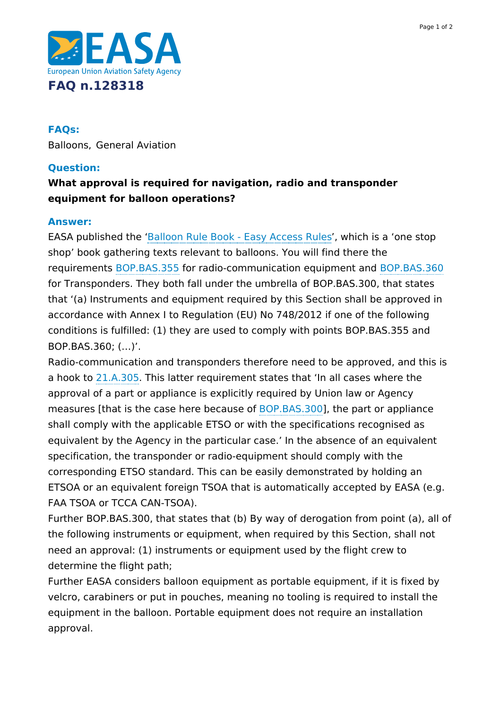

## **FAQs:**

Balloons, General Aviation

## **Question:**

# **What approval is required for navigation, radio and transponder equipment for balloon operations?**

#### **Answer:**

EASA published the ['Balloon](https://www.easa.europa.eu/document-library/easy-access-rules/balloon-rule-book-easy-access-rules) Rule Book - Easy Access Rules', which is a 'one stop shop' book gathering texts relevant to balloons. You will find there the requirements [BOP.BAS.355](https://www.easa.europa.eu/document-library/easy-access-rules/online-publications/easy-access-rules-balloons?page=5#_DxCrossRefBm9000042) for radio-communication equipment and [BOP.BAS.360](https://www.easa.europa.eu/document-library/easy-access-rules/online-publications/easy-access-rules-balloons?page=5#_DxCrossRefBm9000097) for Transponders. They both fall under the umbrella of BOP.BAS.300, that states that '(a) Instruments and equipment required by this Section shall be approved in accordance with Annex I to Regulation (EU) No 748/2012 if one of the following conditions is fulfilled: (1) they are used to comply with points BOP.BAS.355 and BOP.BAS.360; (…)'.

Radio-communication and transponders therefore need to be approved, and this is a hook to [21.A.305](https://www.easa.europa.eu/document-library/easy-access-rules/online-publications/easy-access-rules-airworthiness-and?page=15#_Toc431907025). This latter requirement states that 'In all cases where the approval of a part or appliance is explicitly required by Union law or Agency measures [that is the case here because of [BOP.BAS.300](https://www.easa.europa.eu/document-library/easy-access-rules/online-publications/easy-access-rules-balloons?page=5#_DxCrossRefBm9000096)], the part or appliance shall comply with the applicable ETSO or with the specifications recognised as equivalent by the Agency in the particular case.' In the absence of an equivalent specification, the transponder or radio-equipment should comply with the corresponding ETSO standard. This can be easily demonstrated by holding an ETSOA or an equivalent foreign TSOA that is automatically accepted by EASA (e.g. FAA TSOA or TCCA CAN-TSOA).

Further BOP.BAS.300, that states that (b) By way of derogation from point (a), all of the following instruments or equipment, when required by this Section, shall not need an approval: (1) instruments or equipment used by the flight crew to determine the flight path;

Further EASA considers balloon equipment as portable equipment, if it is fixed by velcro, carabiners or put in pouches, meaning no tooling is required to install the equipment in the balloon. Portable equipment does not require an installation approval.